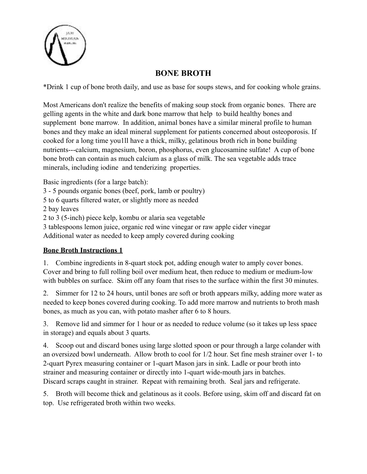

## **BONE BROTH**

\*Drink 1 cup of bone broth daily, and use as base for soups stews, and for cooking whole grains.

Most Americans don't realize the benefits of making soup stock from organic bones. There are gelling agents in the white and dark bone marrow that help to build healthy bones and supplement bone marrow. In addition, animal bones have a similar mineral profile to human bones and they make an ideal mineral supplement for patients concerned about osteoporosis. If cooked for a long time you1ll have a thick, milky, gelatinous broth rich in bone building nutrients---calcium, magnesium, boron, phosphorus, even glucosamine sulfate! A cup of bone bone broth can contain as much calcium as a glass of milk. The sea vegetable adds trace minerals, including iodine and tenderizing properties.

Basic ingredients (for a large batch):

3 - 5 pounds organic bones (beef, pork, lamb or poultry)

5 to 6 quarts filtered water, or slightly more as needed

2 bay leaves

2 to 3 (5-inch) piece kelp, kombu or alaria sea vegetable

3 tablespoons lemon juice, organic red wine vinegar or raw apple cider vinegar

Additional water as needed to keep amply covered during cooking

## **Bone Broth Instructions 1**

1. Combine ingredients in 8-quart stock pot, adding enough water to amply cover bones. Cover and bring to full rolling boil over medium heat, then reduce to medium or medium-low with bubbles on surface. Skim off any foam that rises to the surface within the first 30 minutes.

2. Simmer for 12 to 24 hours, until bones are soft or broth appears milky, adding more water as needed to keep bones covered during cooking. To add more marrow and nutrients to broth mash bones, as much as you can, with potato masher after 6 to 8 hours.

3. Remove lid and simmer for 1 hour or as needed to reduce volume (so it takes up less space in storage) and equals about 3 quarts.

4. Scoop out and discard bones using large slotted spoon or pour through a large colander with an oversized bowl underneath. Allow broth to cool for 1/2 hour. Set fine mesh strainer over 1- to 2-quart Pyrex measuring container or 1-quart Mason jars in sink. Ladle or pour broth into strainer and measuring container or directly into 1-quart wide-mouth jars in batches. Discard scraps caught in strainer. Repeat with remaining broth. Seal jars and refrigerate.

5. Broth will become thick and gelatinous as it cools. Before using, skim off and discard fat on top. Use refrigerated broth within two weeks.